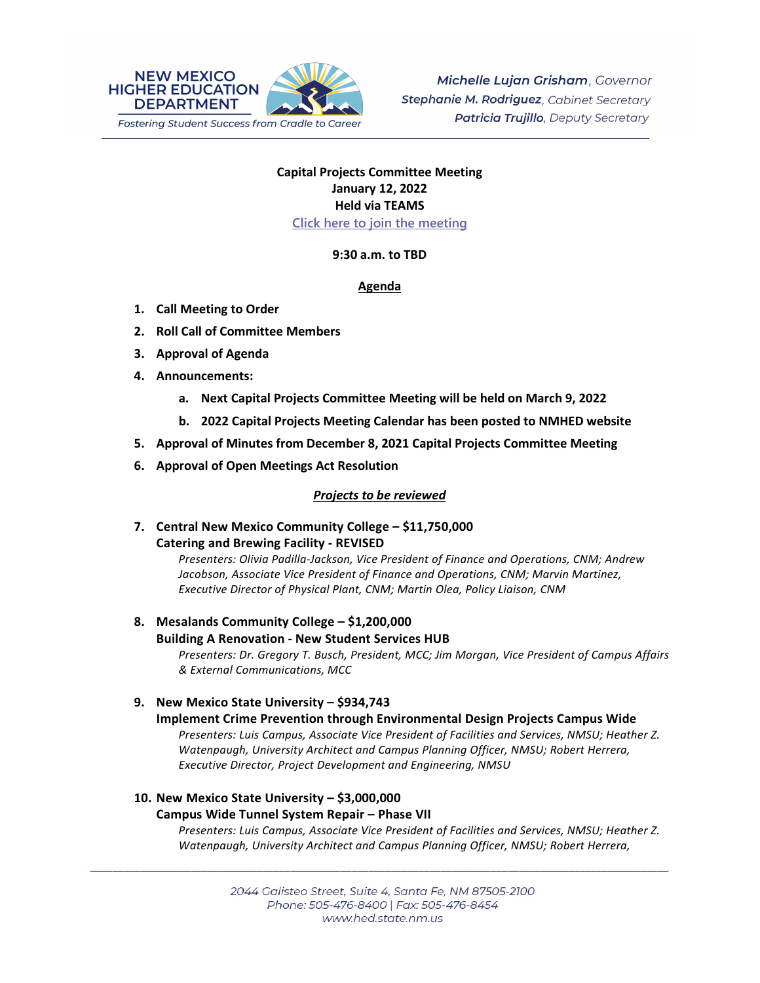

# **Capital Projects Committee Meeting January 12, 2022 Held via TEAMS [Click here to join the meeting](https://teams.microsoft.com/l/meetup-join/19%3ameeting_OWQ2YWRkMDUtNTU3Mi00NjUxLTk1OGItOGNlZDdhNjAzZThi%40thread.v2/0?context=%7b%22Tid%22%3a%2204aa6bf4-d436-426f-bfa4-04b7a70e60ff%22%2c%22Oid%22%3a%222844ecea-db84-4cd8-97b7-9d410f1aa07b%22%7d)**

# **9:30 a.m. to TBD**

# **Agenda**

- **1. Call Meeting to Order**
- **2. Roll Call of Committee Members**
- **3. Approval of Agenda**
- **4. Announcements:**
	- **a. Next Capital Projects Committee Meeting will be held on March 9, 2022**
	- **b. 2022 Capital Projects Meeting Calendar has been posted to NMHED website**
- **5. Approval of Minutes from December 8, 2021 Capital Projects Committee Meeting**
- **6. Approval of Open Meetings Act Resolution**

# *Projects to be reviewed*

**7. Central New Mexico Community College – \$11,750,000 Catering and Brewing Facility - REVISED**

> *Presenters: Olivia Padilla-Jackson, Vice President of Finance and Operations, CNM; Andrew Jacobson, Associate Vice President of Finance and Operations, CNM; Marvin Martinez, Executive Director of Physical Plant, CNM; Martin Olea, Policy Liaison, CNM*

# **8. Mesalands Community College – \$1,200,000 Building A Renovation - New Student Services HUB** *Presenters: Dr. Gregory T. Busch, President, MCC; Jim Morgan, Vice President of Campus Affairs & External Communications, MCC*

**9. New Mexico State University – \$934,743**

# **Implement Crime Prevention through Environmental Design Projects Campus Wide**

*Presenters: Luis Campus, Associate Vice President of Facilities and Services, NMSU; Heather Z. Watenpaugh, University Architect and Campus Planning Officer, NMSU; Robert Herrera, Executive Director, Project Development and Engineering, NMSU*

# **10. New Mexico State University – \$3,000,000**

# **Campus Wide Tunnel System Repair – Phase VII**

*Presenters: Luis Campus, Associate Vice President of Facilities and Services, NMSU; Heather Z. Watenpaugh, University Architect and Campus Planning Officer, NMSU; Robert Herrera,* 

\_\_\_\_\_\_\_\_\_\_\_\_\_\_\_\_\_\_\_\_\_\_\_\_\_\_\_\_\_\_\_\_\_\_\_\_\_\_\_\_\_\_\_\_\_\_\_\_\_\_\_\_\_\_\_\_\_\_\_\_\_\_\_\_\_\_\_\_\_\_\_\_\_\_\_\_\_\_\_\_\_\_\_\_\_\_\_\_\_\_\_\_\_\_\_\_\_\_\_\_\_\_\_\_